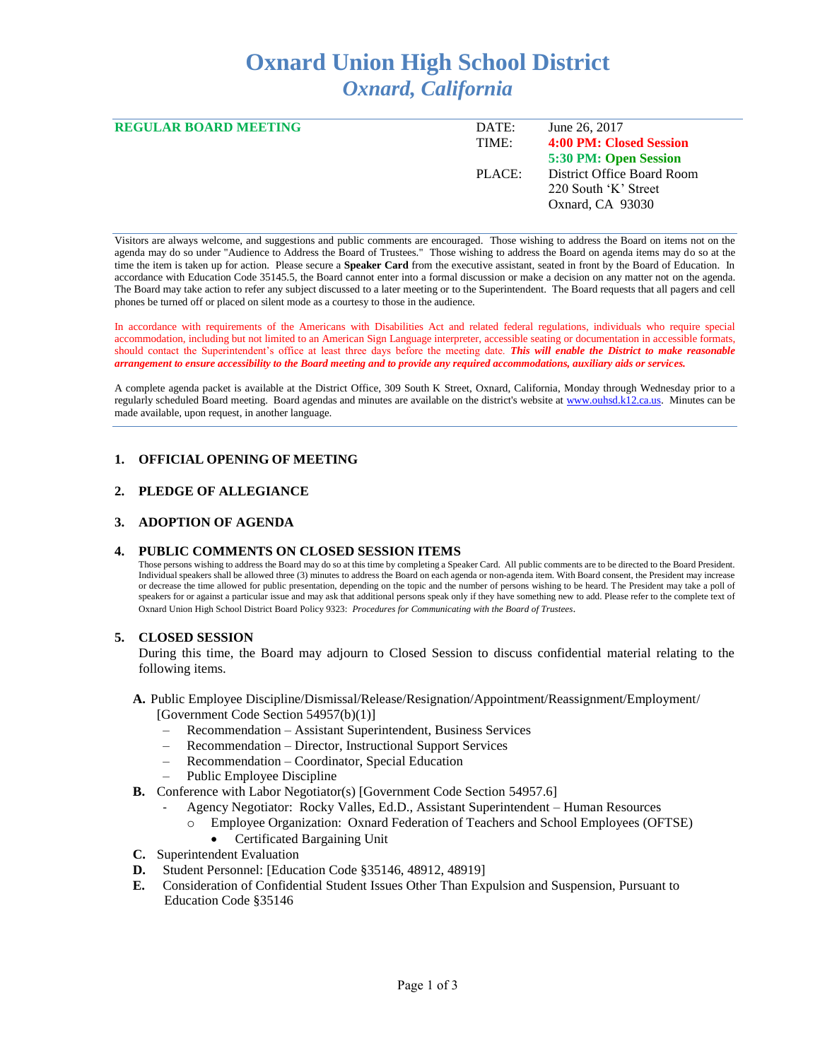# **Oxnard Union High School District** *Oxnard, California*

| <b>REGULAR BOARD MEETING</b> | DATE:  | June 26, 2017              |
|------------------------------|--------|----------------------------|
|                              | TIME:  | 4:00 PM: Closed Session    |
|                              |        | 5:30 PM: Open Session      |
|                              | PLACE: | District Office Board Room |
|                              |        | 220 South 'K' Street       |
|                              |        | Oxnard, CA 93030           |
|                              |        |                            |

Visitors are always welcome, and suggestions and public comments are encouraged. Those wishing to address the Board on items not on the agenda may do so under "Audience to Address the Board of Trustees." Those wishing to address the Board on agenda items may do so at the time the item is taken up for action. Please secure a **Speaker Card** from the executive assistant, seated in front by the Board of Education. In accordance with Education Code 35145.5, the Board cannot enter into a formal discussion or make a decision on any matter not on the agenda. The Board may take action to refer any subject discussed to a later meeting or to the Superintendent. The Board requests that all pagers and cell phones be turned off or placed on silent mode as a courtesy to those in the audience.

In accordance with requirements of the Americans with Disabilities Act and related federal regulations, individuals who require special accommodation, including but not limited to an American Sign Language interpreter, accessible seating or documentation in accessible formats, should contact the Superintendent's office at least three days before the meeting date. *This will enable the District to make reasonable arrangement to ensure accessibility to the Board meeting and to provide any required accommodations, auxiliary aids or services.* 

A complete agenda packet is available at the District Office, 309 South K Street, Oxnard, California, Monday through Wednesday prior to a regularly scheduled Board meeting. Board agendas and minutes are available on the district's website at [www.ouhsd.k12.ca.us.](http://www.ouhsd.k12.ca.us/)Minutes can be made available, upon request, in another language.

# **1. OFFICIAL OPENING OF MEETING**

### **2. PLEDGE OF ALLEGIANCE**

# **3. ADOPTION OF AGENDA**

### **4. PUBLIC COMMENTS ON CLOSED SESSION ITEMS**

Those persons wishing to address the Board may do so at this time by completing a Speaker Card. All public comments are to be directed to the Board President. Individual speakers shall be allowed three (3) minutes to address the Board on each agenda or non-agenda item. With Board consent, the President may increase or decrease the time allowed for public presentation, depending on the topic and the number of persons wishing to be heard. The President may take a poll of speakers for or against a particular issue and may ask that additional persons speak only if they have something new to add. Please refer to the complete text of Oxnard Union High School District Board Policy 9323: *Procedures for Communicating with the Board of Trustees*.

### **5. CLOSED SESSION**

During this time, the Board may adjourn to Closed Session to discuss confidential material relating to the following items.

- **A.** Public Employee Discipline/Dismissal/Release/Resignation/Appointment/Reassignment/Employment/ [Government Code Section 54957(b)(1)]
	- Recommendation Assistant Superintendent, Business Services
	- Recommendation Director, Instructional Support Services
	- Recommendation Coordinator, Special Education
	- Public Employee Discipline
- **B.** Conference with Labor Negotiator(s) [Government Code Section 54957.6]
	- Agency Negotiator: Rocky Valles, Ed.D., Assistant Superintendent Human Resources
		- o Employee Organization: Oxnard Federation of Teachers and School Employees (OFTSE)
		- Certificated Bargaining Unit
- **C.** Superintendent Evaluation
- **D.** Student Personnel: [Education Code §35146, 48912, 48919]
- **E.** Consideration of Confidential Student Issues Other Than Expulsion and Suspension, Pursuant to Education Code §35146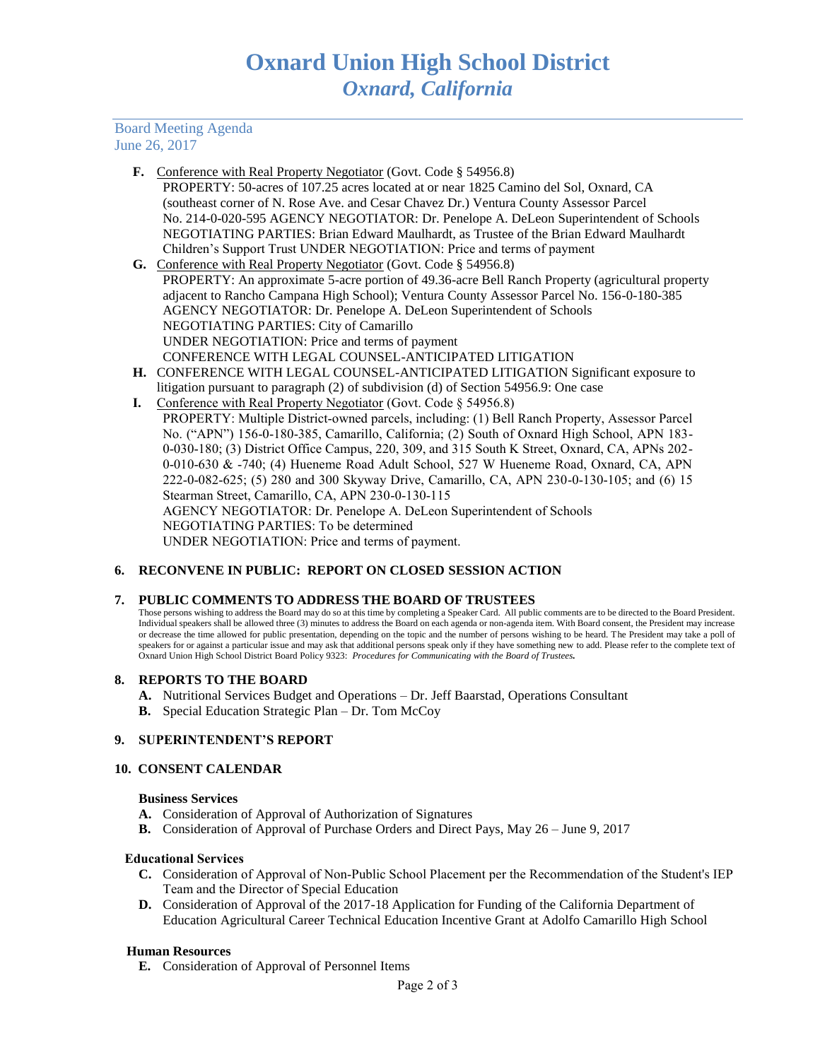# Board Meeting Agenda June 26, 2017

- **F.** Conference with Real Property Negotiator (Govt. Code § 54956.8) PROPERTY: 50-acres of 107.25 acres located at or near 1825 Camino del Sol, Oxnard, CA (southeast corner of N. Rose Ave. and Cesar Chavez Dr.) Ventura County Assessor Parcel No. 214-0-020-595 AGENCY NEGOTIATOR: Dr. Penelope A. DeLeon Superintendent of Schools NEGOTIATING PARTIES: Brian Edward Maulhardt, as Trustee of the Brian Edward Maulhardt Children's Support Trust UNDER NEGOTIATION: Price and terms of payment
- **G.** Conference with Real Property Negotiator (Govt. Code § 54956.8) PROPERTY: An approximate 5-acre portion of 49.36-acre Bell Ranch Property (agricultural property adjacent to Rancho Campana High School); Ventura County Assessor Parcel No. 156-0-180-385 AGENCY NEGOTIATOR: Dr. Penelope A. DeLeon Superintendent of Schools NEGOTIATING PARTIES: City of Camarillo UNDER NEGOTIATION: Price and terms of payment CONFERENCE WITH LEGAL COUNSEL-ANTICIPATED LITIGATION
- **H.** CONFERENCE WITH LEGAL COUNSEL-ANTICIPATED LITIGATION Significant exposure to litigation pursuant to paragraph (2) of subdivision (d) of Section 54956.9: One case
- I. Conference with Real Property Negotiator (Govt. Code § 54956.8) PROPERTY: Multiple District-owned parcels, including: (1) Bell Ranch Property, Assessor Parcel No. ("APN") 156-0-180-385, Camarillo, California; (2) South of Oxnard High School, APN 183- 0-030-180; (3) District Office Campus, 220, 309, and 315 South K Street, Oxnard, CA, APNs 202- 0-010-630 & -740; (4) Hueneme Road Adult School, 527 W Hueneme Road, Oxnard, CA, APN 222-0-082-625; (5) 280 and 300 Skyway Drive, Camarillo, CA, APN 230-0-130-105; and (6) 15 Stearman Street, Camarillo, CA, APN 230-0-130-115 AGENCY NEGOTIATOR: Dr. Penelope A. DeLeon Superintendent of Schools NEGOTIATING PARTIES: To be determined UNDER NEGOTIATION: Price and terms of payment.

# **6. RECONVENE IN PUBLIC: REPORT ON CLOSED SESSION ACTION**

# **7. PUBLIC COMMENTS TO ADDRESS THE BOARD OF TRUSTEES**

Those persons wishing to address the Board may do so at this time by completing a Speaker Card. All public comments are to be directed to the Board President. Individual speakers shall be allowed three (3) minutes to address the Board on each agenda or non-agenda item. With Board consent, the President may increase or decrease the time allowed for public presentation, depending on the topic and the number of persons wishing to be heard. The President may take a poll of speakers for or against a particular issue and may ask that additional persons speak only if they have something new to add. Please refer to the complete text of Oxnard Union High School District Board Policy 9323: *Procedures for Communicating with the Board of Trustees.*

### **8. REPORTS TO THE BOARD**

- **A.** Nutritional Services Budget and Operations Dr. Jeff Baarstad, Operations Consultant
- **B.** Special Education Strategic Plan Dr. Tom McCoy

### **9. SUPERINTENDENT'S REPORT**

### **10. CONSENT CALENDAR**

### **Business Services**

- **A.** Consideration of Approval of Authorization of Signatures
- **B.** Consideration of Approval of Purchase Orders and Direct Pays, May 26 June 9, 2017

### Educational Services

- **C.** Consideration of Approval of Non-Public School Placement per the Recommendation of the Student's IEP Team and the Director of Special Education
- **D.** Consideration of Approval of the 2017-18 Application for Funding of the California Department of Education Agricultural Career Technical Education Incentive Grant at Adolfo Camarillo High School

### **Human Resources**

**E.** Consideration of Approval of Personnel Items